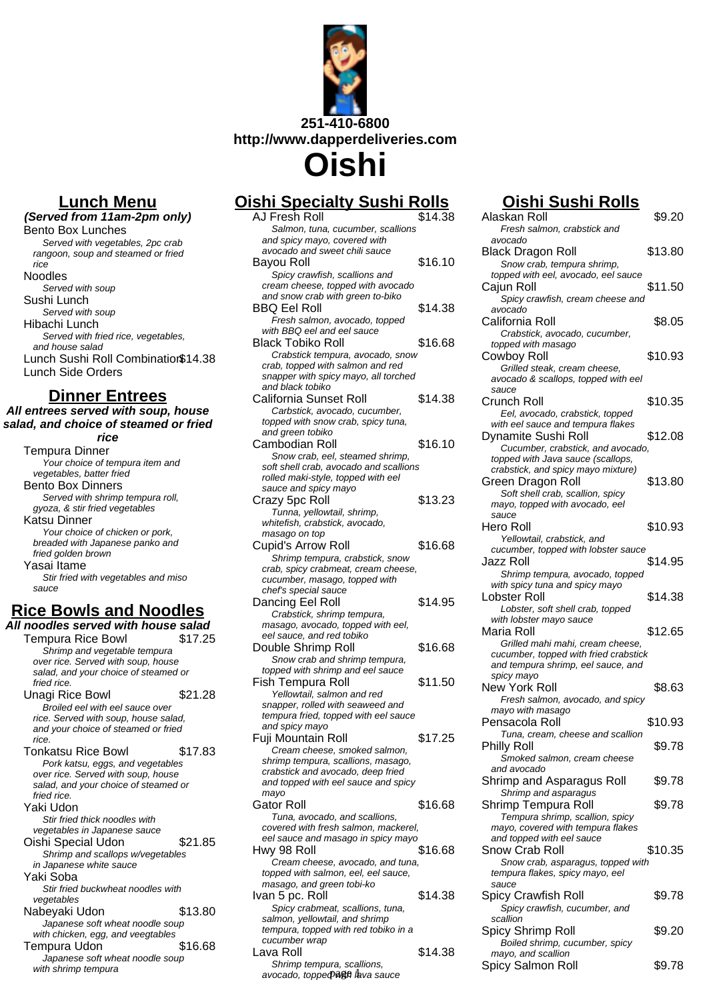

**Oishi**

## **Oishi Specialty Sushi Rolls**

| <u>ısnı Specialty Sushi Rolls</u>                                         |         |
|---------------------------------------------------------------------------|---------|
| AJ Fresh Roll                                                             | \$14.38 |
| Salmon, tuna, cucumber, scallions                                         |         |
| and spicy mayo, covered with<br>avocado and sweet chili sauce             |         |
| Bayou Roll                                                                | \$16.10 |
| Spicy crawfish, scallions and                                             |         |
| cream cheese, topped with avocado                                         |         |
| and snow crab with green to-biko                                          |         |
| <b>BBQ Eel Roll</b>                                                       | \$14.38 |
| Fresh salmon, avocado, topped                                             |         |
| with BBQ eel and eel sauce                                                |         |
| <b>Black Tobiko Roll</b>                                                  | \$16.68 |
| Crabstick tempura, avocado, snow<br>crab, topped with salmon and red      |         |
| snapper with spicy mayo, all torched                                      |         |
| and black tobiko                                                          |         |
| California Sunset Roll                                                    | \$14.38 |
| Carbstick, avocado, cucumber,                                             |         |
| topped with snow crab, spicy tuna,                                        |         |
| and green tobiko                                                          |         |
| Cambodian Roll                                                            | \$16.10 |
| Snow crab, eel, steamed shrimp,<br>soft shell crab, avocado and scallions |         |
| rolled maki-style, topped with eel                                        |         |
| sauce and spicy mayo                                                      |         |
| Crazy 5pc Roll                                                            | \$13.23 |
| Tunna, yellowtail, shrimp,                                                |         |
| whitefish, crabstick, avocado,                                            |         |
| masago on top<br><b>Cupid's Arrow Roll</b>                                | \$16.68 |
| Shrimp tempura, crabstick, snow                                           |         |
| crab, spicy crabmeat, cream cheese,                                       |         |
| cucumber, masago, topped with                                             |         |
| chef's special sauce                                                      |         |
| Dancing Eel Roll                                                          | \$14.95 |
| Crabstick, shrimp tempura,                                                |         |
| masago, avocado, topped with eel,<br>eel sauce, and red tobiko            |         |
| Double Shrimp Roll                                                        | \$16.68 |
| Snow crab and shrimp tempura,                                             |         |
| topped with shrimp and eel sauce                                          |         |
| Fish Tempura Roll                                                         | \$11.50 |
| Yellowtail, salmon and red                                                |         |
| snapper, rolled with seaweed and                                          |         |
| tempura fried, topped with eel sauce<br>and spicy mayo                    |         |
| Fuji Mountain Roll                                                        | \$17.25 |
| Cream cheese, smoked salmon,                                              |         |
| shrimp tempura, scallions, masago,                                        |         |
| crabstick and avocado, deep fried                                         |         |
| and topped with eel sauce and spicy                                       |         |
| mayo                                                                      |         |
| Gator Roll                                                                | \$16.68 |
| Tuna, avocado, and scallions,<br>covered with fresh salmon, mackerel,     |         |
| eel sauce and masago in spicy mayo                                        |         |
| Hwy 98 Roll                                                               | \$16.68 |
| Cream cheese, avocado, and tuna,                                          |         |
| topped with salmon, eel, eel sauce,                                       |         |
| masago, and green tobi-ko                                                 |         |
| Ivan 5 pc. Roll                                                           | \$14.38 |
| Spicy crabmeat, scallions, tuna,<br>salmon, yellowtail, and shrimp        |         |
| tempura, topped with red tobiko in a                                      |         |
| cucumber wrap                                                             |         |
| Lava Roll                                                                 | \$14.38 |
| Shrimp tempura, scallions,                                                |         |

## **Oishi Sushi Rolls**

| J Fresh Roll                                                           | \$14.38 | Alaskan Roll                                                         | \$9.20  |
|------------------------------------------------------------------------|---------|----------------------------------------------------------------------|---------|
| Salmon, tuna, cucumber, scallions                                      |         | Fresh salmon, crabstick and                                          |         |
| and spicy mayo, covered with                                           |         | avocado                                                              |         |
| avocado and sweet chili sauce<br>ayou Roll                             | \$16.10 | Black Dragon Roll                                                    | \$13.80 |
| Spicy crawfish, scallions and                                          |         | Snow crab, tempura shrimp,<br>topped with eel, avocado, eel sauce    |         |
| cream cheese, topped with avocado                                      |         | Cajun Roll                                                           | \$11.50 |
| and snow crab with green to-biko                                       |         | Spicy crawfish, cream cheese and                                     |         |
| BQ Eel Roll                                                            | \$14.38 | avocado                                                              |         |
| Fresh salmon, avocado, topped                                          |         | California Roll                                                      | \$8.05  |
| with BBQ eel and eel sauce                                             |         | Crabstick, avocado, cucumber,                                        |         |
| lack Tobiko Roll                                                       | \$16.68 | topped with masago                                                   |         |
| Crabstick tempura, avocado, snow<br>crab, topped with salmon and red   |         | Cowboy Roll                                                          | \$10.93 |
| snapper with spicy mayo, all torched                                   |         | Grilled steak, cream cheese,<br>avocado & scallops, topped with eel  |         |
| and black tobiko                                                       |         | sauce                                                                |         |
| alifornia Sunset Roll                                                  | \$14.38 | Crunch Roll                                                          | \$10.35 |
| Carbstick, avocado, cucumber,                                          |         | Eel, avocado, crabstick, topped                                      |         |
| topped with snow crab, spicy tuna,                                     |         | with eel sauce and tempura flakes                                    |         |
| and green tobiko<br>ambodian Roll                                      | \$16.10 | Dynamite Sushi Roll                                                  | \$12.08 |
| Snow crab, eel, steamed shrimp,                                        |         | Cucumber, crabstick, and avocado,                                    |         |
| soft shell crab, avocado and scallions                                 |         | topped with Java sauce (scallops,                                    |         |
| rolled maki-style, topped with eel                                     |         | crabstick, and spicy mayo mixture)<br>Green Dragon Roll              | \$13.80 |
| sauce and spicy mayo                                                   |         | Soft shell crab, scallion, spicy                                     |         |
| razy 5pc Roll                                                          | \$13.23 | mayo, topped with avocado, eel                                       |         |
| Tunna, yellowtail, shrimp,                                             |         | sauce                                                                |         |
| whitefish, crabstick, avocado,                                         |         | Hero Roll                                                            | \$10.93 |
| masago on top<br>upid's Arrow Roll                                     | \$16.68 | Yellowtail, crabstick, and                                           |         |
| Shrimp tempura, crabstick, snow                                        |         | cucumber, topped with lobster sauce                                  |         |
| crab, spicy crabmeat, cream cheese,                                    |         | Jazz Roll                                                            | \$14.95 |
| cucumber, masago, topped with                                          |         | Shrimp tempura, avocado, topped                                      |         |
| chef's special sauce                                                   |         | with spicy tuna and spicy mayo<br>Lobster Roll                       | \$14.38 |
| ancing Eel Roll                                                        | \$14.95 | Lobster, soft shell crab, topped                                     |         |
| Crabstick, shrimp tempura,                                             |         | with lobster mayo sauce                                              |         |
| masago, avocado, topped with eel,<br>eel sauce, and red tobiko         |         | Maria Roll                                                           | \$12.65 |
| ouble Shrimp Roll                                                      | \$16.68 | Grilled mahi mahi, cream cheese,                                     |         |
| Snow crab and shrimp tempura,                                          |         | cucumber, topped with fried crabstick                                |         |
| topped with shrimp and eel sauce                                       |         | and tempura shrimp, eel sauce, and                                   |         |
| sh Tempura Roll                                                        | \$11.50 | spicy mayo<br>New York Roll                                          | \$8.63  |
| Yellowtail, salmon and red                                             |         | Fresh salmon, avocado, and spicy                                     |         |
| snapper, rolled with seaweed and                                       |         | mayo with masago                                                     |         |
| tempura fried, topped with eel sauce                                   |         | Pensacola Roll                                                       | \$10.93 |
| and spicy mayo<br>uji Mountain Roll                                    | \$17.25 | Tuna, cream, cheese and scallion                                     |         |
| Cream cheese, smoked salmon,                                           |         | Philly Roll                                                          | \$9.78  |
| shrimp tempura, scallions, masago,                                     |         | Smoked salmon, cream cheese                                          |         |
| crabstick and avocado, deep fried                                      |         | and avocado                                                          |         |
| and topped with eel sauce and spicy                                    |         | Shrimp and Asparagus Roll                                            | \$9.78  |
| mayo                                                                   |         | Shrimp and asparagus                                                 |         |
| ator Roll                                                              | \$16.68 | Shrimp Tempura Roll                                                  | \$9.78  |
| Tuna, avocado, and scallions,<br>covered with fresh salmon, mackerel,  |         | Tempura shrimp, scallion, spicy<br>mayo, covered with tempura flakes |         |
| eel sauce and masago in spicy mayo                                     |         | and topped with eel sauce                                            |         |
| wy 98 Roll                                                             | \$16.68 | Snow Crab Roll                                                       | \$10.35 |
| Cream cheese, avocado, and tuna,                                       |         | Snow crab, asparagus, topped with                                    |         |
| topped with salmon, eel, eel sauce,                                    |         | tempura flakes, spicy mayo, eel                                      |         |
| masago, and green tobi-ko                                              |         | sauce                                                                |         |
| an 5 pc. Roll                                                          | \$14.38 | Spicy Crawfish Roll                                                  | \$9.78  |
| Spicy crabmeat, scallions, tuna,                                       |         | Spicy crawfish, cucumber, and<br>scallion                            |         |
| salmon, yellowtail, and shrimp<br>tempura, topped with red tobiko in a |         | Spicy Shrimp Roll                                                    | \$9.20  |
| cucumber wrap                                                          |         | Boiled shrimp, cucumber, spicy                                       |         |
| ava Roll                                                               | \$14.38 | mayo, and scallion                                                   |         |
| Shrimp tempura, scallions,                                             |         | Spicy Salmon Roll                                                    | \$9.78  |
| avocado, toppeo⊅wana lava sauce                                        |         |                                                                      |         |

**Lunch Menu**

**(Served from 11am-2pm only)** Bento Box Lunches Served with vegetables, 2pc crab rangoon, soup and steamed or fried rice Noodles Served with soup Sushi Lunch Served with soup Hibachi Lunch Served with fried rice, vegetables, and house salad Lunch Sushi Roll Combination\$14.38 Lunch Side Orders

### **Dinner Entrees**

**All entrees served with soup, house salad, and choice of steamed or fried**

**rice** Tempura Dinner Your choice of tempura item and vegetables, batter fried Bento Box Dinners Served with shrimp tempura roll, gyoza, & stir fried vegetables Katsu Dinner Your choice of chicken or pork, breaded with Japanese panko and fried golden brown Yasai Itame Stir fried with vegetables and miso sauce

### **Rice Bowls and Noodles All noodles served with house salad**

Tempura Rice Bowl \$17.25 Shrimp and vegetable tempura over rice. Served with soup, house salad, and your choice of steamed or fried rice. Unagi Rice Bowl \$21.28 Broiled eel with eel sauce over rice. Served with soup, house salad, and your choice of steamed or fried rice. Tonkatsu Rice Bowl \$17.83 Pork katsu, eggs, and vegetables over rice. Served with soup, house salad, and your choice of steamed or fried rice. Yaki Udon Stir fried thick noodles with vegetables in Japanese sauce Oishi Special Udon \$21.85 Shrimp and scallops w/vegetables in Japanese white sauce Yaki Soba Stir fried buckwheat noodles with vegetables Nabeyaki Udon \$13.80 Japanese soft wheat noodle soup with chicken, egg, and veegtables Tempura Udon \$16.68 Japanese soft wheat noodle soup with shrimp tempura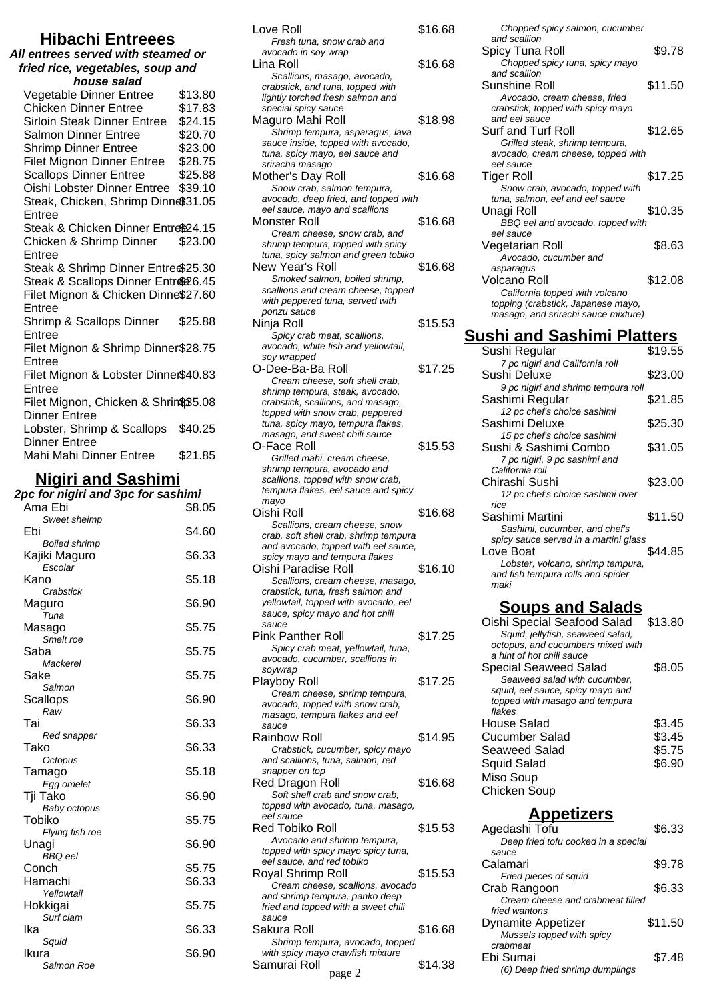## **Hibachi Entreees**

#### **All entrees served with steamed or fried rice, vegetables, soup and house salad**

| Vegetable Dinner Entree              | \$13.80 |
|--------------------------------------|---------|
| <b>Chicken Dinner Entree</b>         | \$17.83 |
| <b>Sirloin Steak Dinner Entree</b>   | \$24.15 |
| Salmon Dinner Entree                 | \$20.70 |
| <b>Shrimp Dinner Entree</b>          | \$23.00 |
| <b>Filet Mignon Dinner Entree</b>    | \$28.75 |
| <b>Scallops Dinner Entree</b>        | \$25.88 |
| Oishi Lobster Dinner Entree          | \$39.10 |
| Steak, Chicken, Shrimp Dinne\$31.05  |         |
| Entree                               |         |
| Steak & Chicken Dinner Entre®24.15   |         |
| Chicken & Shrimp Dinner              | \$23.00 |
| Entree                               |         |
| Steak & Shrimp Dinner Entre \$25.30  |         |
| Steak & Scallops Dinner Entre 26.45  |         |
| Filet Mignon & Chicken Dinne\$27.60  |         |
| Entree                               |         |
| Shrimp & Scallops Dinner             | \$25.88 |
| Entree                               |         |
| Filet Mignon & Shrimp Dinner\$28.75  |         |
| Entree                               |         |
| Filet Mignon & Lobster Dinner\$40.83 |         |
| Entree                               |         |
| Filet Mignon, Chicken & Shrin\$35.08 |         |
| <b>Dinner Entree</b>                 |         |
| Lobster, Shrimp & Scallops           | \$40.25 |
| <b>Dinner Entree</b>                 |         |
| Mahi Mahi Dinner Entree              | \$21.85 |

## **Nigiri and Sashimi**

| 2pc for nigiri and 3pc for sashimi |        |
|------------------------------------|--------|
| Ama Ebi                            | \$8.05 |
| Sweet sheimp                       |        |
| Ebi                                | \$4.60 |
| <b>Boiled shrimp</b>               |        |
| Kajiki Maguro<br>Escolar           | \$6.33 |
| Kano                               | \$5.18 |
| Crabstick                          |        |
| Maguro                             | \$6.90 |
| Tuna                               |        |
| Masago                             | \$5.75 |
| Smelt roe                          |        |
| Saba<br>Mackerel                   | \$5.75 |
| Sake                               | \$5.75 |
| Salmon                             |        |
| Scallops                           | \$6.90 |
| Raw                                |        |
| Tai                                | \$6.33 |
| Red snapper                        |        |
| Tako                               | \$6.33 |
| Octopus                            | \$5.18 |
| Tamago<br>Egg omelet               |        |
| Tji Tako                           | \$6.90 |
| Baby octopus                       |        |
| Tobiko                             | \$5.75 |
| Flying fish roe                    |        |
| Unagi                              | \$6.90 |
| <b>BBQ</b> eel                     |        |
| Conch                              | \$5.75 |
| Hamachi<br>Yellowtail              | \$6.33 |
| Hokkigai                           | \$5.75 |
| Surf clam                          |        |
| Ika                                | \$6.33 |
| Squid                              |        |
| Ikura                              | \$6.90 |
| Salmon Roe                         |        |

| Love Roll<br>Fresh tuna, snow crab and                                                              | \$16.68 |
|-----------------------------------------------------------------------------------------------------|---------|
| avocado in soy wrap<br>Lina Roll                                                                    | \$16.68 |
| Scallions, masago, avocado,<br>crabstick, and tuna, topped with<br>lightly torched fresh salmon and |         |
| special spicy sauce<br>Maguro Mahi Roll<br>Shrimp tempura, asparagus, lava                          | \$18.98 |
| sauce inside, topped with avocado,<br>tuna, spicy mayo, eel sauce and<br>sriracha masago            |         |
| Mother's Day Roll<br>Snow crab, salmon tempura,                                                     | \$16.68 |
| avocado, deep fried, and topped with<br>eel sauce, mayo and scallions                               |         |
| <b>Monster Roll</b>                                                                                 | \$16.68 |
| Cream cheese, snow crab, and<br>shrimp tempura, topped with spicy                                   |         |
| tuna, spicy salmon and green tobiko<br>New Year's Roll                                              | \$16.68 |
| Smoked salmon, boiled shrimp,                                                                       |         |
| scallions and cream cheese, topped<br>with peppered tuna, served with                               |         |
| ponzu sauce                                                                                         | \$15.53 |
| Ninja Roll<br>Spicy crab meat, scallions,                                                           |         |
| avocado, white fish and yellowtail,<br>soy wrapped                                                  |         |
| O-Dee-Ba-Ba Roll                                                                                    | \$17.25 |
| Cream cheese, soft shell crab,<br>shrimp tempura, steak, avocado,                                   |         |
| crabstick, scallions, and masago,                                                                   |         |
| topped with snow crab, peppered<br>tuna, spicy mayo, tempura flakes,                                |         |
| masago, and sweet chili sauce<br>O-Face Roll                                                        | \$15.53 |
| Grilled mahi, cream cheese,                                                                         |         |
| shrimp tempura, avocado and<br>scallions, topped with snow crab,                                    |         |
| tempura flakes, eel sauce and spicy                                                                 |         |
| mayo                                                                                                |         |
|                                                                                                     |         |
| Oishi Roll<br>Scallions, cream cheese, snow                                                         | \$16.68 |
| crab, soft shell crab, shrimp tempura                                                               |         |
| and avocado, topped with eel sauce<br>spicy mayo and tempura flakes                                 |         |
| Oishi Paradise Roll                                                                                 | \$16.10 |
| Scallions, cream cheese, masago,<br>crabstick, tuna, fresh salmon and                               |         |
| yellowtail, topped with avocado, eel<br>sauce, spicy mayo and hot chili                             |         |
| sauce                                                                                               |         |
| <b>Pink Panther Roll</b><br>Spicy crab meat, yellowtail, tuna,                                      | \$17.25 |
| avocado, cucumber, scallions in                                                                     |         |
| soywrap<br>Playboy Roll                                                                             | \$17.25 |
| Cream cheese, shrimp tempura,                                                                       |         |
| avocado, topped with snow crab,<br>masago, tempura flakes and eel                                   |         |
| sauce<br>Rainbow Roll                                                                               | \$14.95 |
| Crabstick, cucumber, spicy mayo                                                                     |         |
| and scallions, tuna, salmon, red<br>snapper on top                                                  |         |
| Red Dragon Roll                                                                                     | \$16.68 |
| Soft shell crab and snow crab,<br>topped with avocado, tuna, masago,                                |         |
| eel sauce                                                                                           |         |
| Red Tobiko Roll<br>Avocado and shrimp tempura,                                                      | \$15.53 |
| topped with spicy mayo spicy tuna,                                                                  |         |
| eel sauce, and red tobiko<br>Royal Shrimp Roll                                                      | \$15.53 |
| Cream cheese, scallions, avocado<br>and shrimp tempura, panko deep                                  |         |
| fried and topped with a sweet chili                                                                 |         |
| sauce<br>Sakura Roll                                                                                | \$16.68 |
| Shrimp tempura, avocado, topped                                                                     |         |
| with spicy mayo crawfish mixture<br>Samurai Roll<br>page 2                                          | \$14.38 |

| Chopped spicy salmon, cucumber      |         |
|-------------------------------------|---------|
| and scallion                        | \$9.78  |
| Spicy Tuna Roll                     |         |
| Chopped spicy tuna, spicy mayo      |         |
| and scallion                        |         |
| Sunshine Roll                       | \$11.50 |
| Avocado, cream cheese, fried        |         |
| crabstick, topped with spicy mayo   |         |
| and eel sauce                       |         |
| Surf and Turf Roll                  | \$12.65 |
| Grilled steak, shrimp tempura,      |         |
| avocado, cream cheese, topped with  |         |
| eel sauce                           |         |
| <b>Tiger Roll</b>                   | \$17.25 |
| Snow crab, avocado, topped with     |         |
| tuna, salmon, eel and eel sauce     |         |
| Unagi Roll                          | \$10.35 |
|                                     |         |
| BBQ eel and avocado, topped with    |         |
| eel sauce                           |         |
| Vegetarian Roll                     | \$8.63  |
| Avocado, cucumber and               |         |
| asparagus                           |         |
| Volcano Roll                        | \$12.08 |
| California topped with volcano      |         |
| topping (crabstick, Japanese mayo,  |         |
| masago, and srirachi sauce mixture) |         |
|                                     |         |
|                                     |         |

## **Sushi and Sashimi Platters**

| Sushi Regular                                         | \$19.55 |
|-------------------------------------------------------|---------|
| 7 pc nigiri and California roll                       |         |
| Sushi Deluxe                                          | \$23.00 |
| 9 pc nigiri and shrimp tempura roll                   | \$21.85 |
| Sashimi Regular<br>12 pc chef's choice sashimi        |         |
| Sashimi Deluxe                                        | \$25.30 |
| 15 pc chef's choice sashimi                           |         |
| Sushi & Sashimi Combo                                 | \$31.05 |
| 7 pc nigiri, 9 pc sashimi and                         |         |
| California roll                                       |         |
| Chirashi Sushi                                        | \$23.00 |
| 12 pc chef's choice sashimi over<br>rice              |         |
| Sashimi Martini                                       | \$11.50 |
| Sashimi, cucumber, and chef's                         |         |
| spicy sauce served in a martini glass                 |         |
| Love Boat                                             | \$44.85 |
| Lobster, volcano, shrimp tempura,                     |         |
| and fish tempura rolls and spider<br>maki             |         |
|                                                       |         |
| <u>Soups and Salads</u>                               |         |
| Oishi Special Seafood Salad                           | \$13.80 |
| Squid, jellyfish, seaweed salad,                      |         |
| octopus, and cucumbers mixed with                     |         |
| a hint of hot chili sauce                             |         |
| Special Seaweed Salad<br>Seaweed salad with cucumber, | \$8.05  |
| squid, eel sauce, spicy mayo and                      |         |
| topped with masago and tempura                        |         |
| flakes                                                |         |
| House Salad                                           | \$3.45  |
| <b>Cucumber Salad</b>                                 | \$3.45  |
| Seaweed Salad                                         |         |
| Squid Salad                                           | \$5.75  |
|                                                       | \$6.90  |
| Miso Soup                                             |         |
| Chicken Soup                                          |         |

| いしいとし                               |         |
|-------------------------------------|---------|
| Agedashi Tofu                       | \$6.33  |
| Deep fried tofu cooked in a special |         |
| sauce                               |         |
| Calamari                            | \$9.78  |
| Fried pieces of squid               |         |
| Crab Rangoon                        | \$6.33  |
| Cream cheese and crabmeat filled    |         |
| fried wantons                       |         |
| <b>Dynamite Appetizer</b>           | \$11.50 |
| Mussels topped with spicy           |         |
| crabmeat                            |         |
| Ebi Sumai                           | \$7.48  |
| (6) Deep fried shrimp dumplings     |         |
|                                     |         |